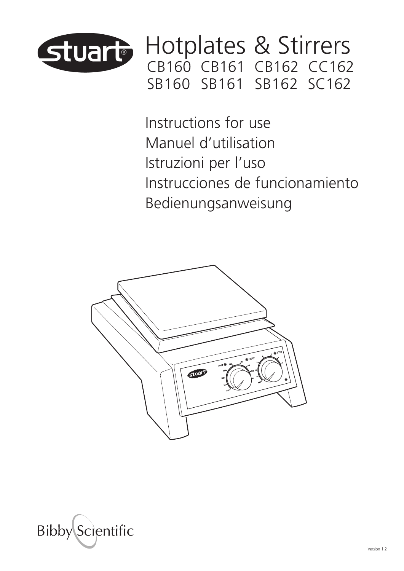

Hotplates & Stirrers CB160 CB161 CB162 CC162 SB160 SB161 SB162 SC162

Instructions for use Manuel d'utilisation Istruzioni per l'uso Instrucciones de funcionamiento Bedienungsanweisung



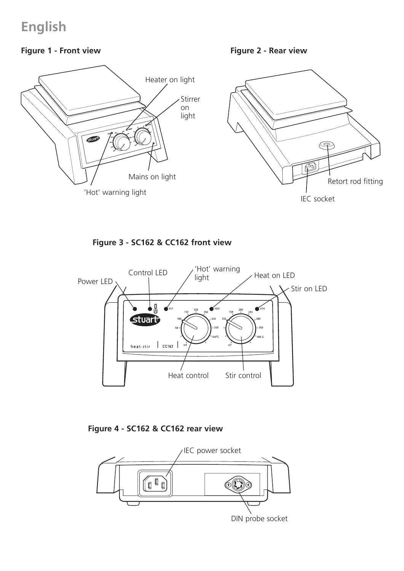### **English**

### **Figure 1 - Front view**

**Figure 2 - Rear view**



**Figure 3 - SC162 & CC162 front view**



**Figure 4 - SC162 & CC162 rear view**



DIN probe socket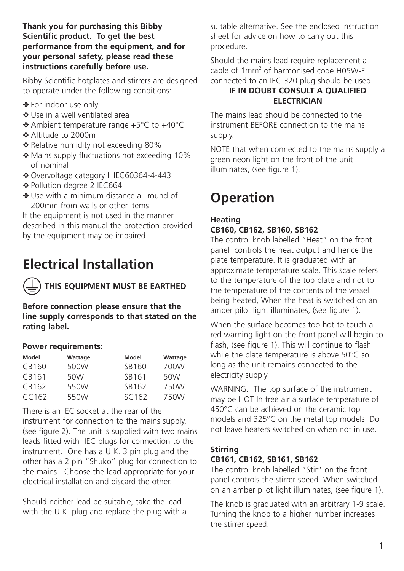#### **Thank you for purchasing this Bibby Scientific product. To get the best performance from the equipment, and for your personal safety, please read these instructions carefully before use.**

Bibby Scientific hotplates and stirrers are designed to operate under the following conditions:-

- ❖ For indoor use only
- ❖ Use in a well ventilated area
- ❖ Ambient temperature range +5°C to +40°C
- ❖ Altitude to 2000m
- ❖ Relative humidity not exceeding 80%
- ❖ Mains supply fluctuations not exceeding 10% of nominal
- ❖ Overvoltage category II IEC60364-4-443
- ◆ Pollution degree 2 IEC664
- ❖ Use with a minimum distance all round of 200mm from walls or other items

If the equipment is not used in the manner described in this manual the protection provided by the equipment may be impaired.

# **Electrical Installation**

**THIS EQUIPMENT MUST BE EARTHED**

**Before connection please ensure that the line supply corresponds to that stated on the rating label.**

#### **Power requirements:**

| Model             | Wattage | Model  | Wattage |
|-------------------|---------|--------|---------|
| CB160             | 500W    | SB160  | 700W    |
| CB161             | 50W     | SB161  | 50W     |
| CB162             | 550W    | SB162  | 750W    |
| CC <sub>162</sub> | 550W    | SC 162 | 750W    |

There is an IEC socket at the rear of the instrument for connection to the mains supply, (see figure 2). The unit is supplied with two mains leads fitted with IEC plugs for connection to the instrument. One has a U.K. 3 pin plug and the other has a 2 pin "Shuko" plug for connection to the mains. Choose the lead appropriate for your electrical installation and discard the other.

Should neither lead be suitable, take the lead with the U.K. plug and replace the plug with a suitable alternative. See the enclosed instruction sheet for advice on how to carry out this procedure.

Should the mains lead require replacement a cable of 1mm2 of harmonised code H05W-F connected to an IEC 320 plug should be used.

### **IF IN DOUBT CONSULT A QUALIFIED ELECTRICIAN**

The mains lead should be connected to the instrument BEFORE connection to the mains supply.

NOTE that when connected to the mains supply a green neon light on the front of the unit illuminates, (see figure 1).

# **Operation**

### **Heating CB160, CB162, SB160, SB162**

The control knob labelled "Heat" on the front panel controls the heat output and hence the plate temperature. It is graduated with an approximate temperature scale. This scale refers to the temperature of the top plate and not to the temperature of the contents of the vessel being heated, When the heat is switched on an amber pilot light illuminates, (see figure 1).

When the surface becomes too hot to touch a red warning light on the front panel will begin to flash, (see figure 1). This will continue to flash while the plate temperature is above 50°C so long as the unit remains connected to the electricity supply.

WARNING: The top surface of the instrument may be HOT In free air a surface temperature of 450°C can be achieved on the ceramic top models and 325°C on the metal top models. Do not leave heaters switched on when not in use.

#### **Stirring**

#### **CB161, CB162, SB161, SB162**

The control knob labelled "Stir" on the front panel controls the stirrer speed. When switched on an amber pilot light illuminates, (see figure 1).

The knob is graduated with an arbitrary 1-9 scale. Turning the knob to a higher number increases the stirrer speed.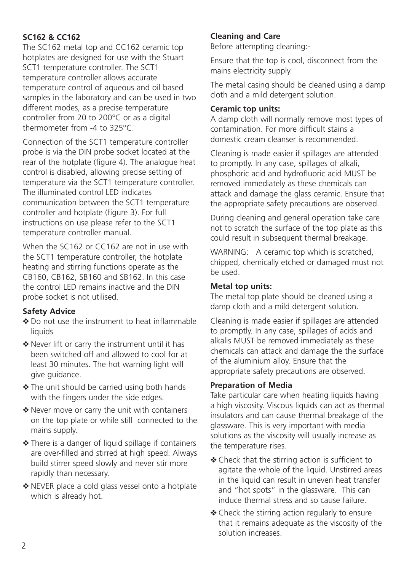#### **SC162 & CC162**

The SC162 metal top and CC162 ceramic top hotplates are designed for use with the Stuart SCT1 temperature controller. The SCT1 temperature controller allows accurate temperature control of aqueous and oil based samples in the laboratory and can be used in two different modes, as a precise temperature controller from 20 to 200°C or as a digital thermometer from -4 to 325°C.

Connection of the SCT1 temperature controller probe is via the DIN probe socket located at the rear of the hotplate (figure 4). The analogue heat control is disabled, allowing precise setting of temperature via the SCT1 temperature controller. The illuminated control LED indicates communication between the SCT1 temperature controller and hotplate (figure 3). For full instructions on use please refer to the SCT1 temperature controller manual.

When the SC162 or CC162 are not in use with the SCT1 temperature controller, the hotplate heating and stirring functions operate as the CB160, CB162, SB160 and SB162. In this case the control LED remains inactive and the DIN probe socket is not utilised.

#### **Safety Advice**

- ❖ Do not use the instrument to heat inflammable liquids
- ❖ Never lift or carry the instrument until it has been switched off and allowed to cool for at least 30 minutes. The hot warning light will give guidance.
- ❖ The unit should be carried using both hands with the fingers under the side edges.
- ◆ Never move or carry the unit with containers on the top plate or while still connected to the mains supply.
- ◆ There is a danger of liquid spillage if containers are over-filled and stirred at high speed. Always build stirrer speed slowly and never stir more rapidly than necessary.
- ❖ NEVER place a cold glass vessel onto a hotplate which is already hot.

#### **Cleaning and Care**

Before attempting cleaning:-

Ensure that the top is cool, disconnect from the mains electricity supply.

The metal casing should be cleaned using a damp cloth and a mild detergent solution.

#### **Ceramic top units:**

A damp cloth will normally remove most types of contamination. For more difficult stains a domestic cream cleanser is recommended.

Cleaning is made easier if spillages are attended to promptly. In any case, spillages of alkali, phosphoric acid and hydrofluoric acid MUST be removed immediately as these chemicals can attack and damage the glass ceramic. Ensure that the appropriate safety precautions are observed.

During cleaning and general operation take care not to scratch the surface of the top plate as this could result in subsequent thermal breakage.

WARNING: A ceramic top which is scratched, chipped, chemically etched or damaged must not be used.

#### **Metal top units:**

The metal top plate should be cleaned using a damp cloth and a mild detergent solution.

Cleaning is made easier if spillages are attended to promptly. In any case, spillages of acids and alkalis MUST be removed immediately as these chemicals can attack and damage the the surface of the aluminium alloy. Ensure that the appropriate safety precautions are observed.

#### **Preparation of Media**

Take particular care when heating liquids having a high viscosity. Viscous liquids can act as thermal insulators and can cause thermal breakage of the glassware. This is very important with media solutions as the viscosity will usually increase as the temperature rises.

- ❖ Check that the stirring action is sufficient to agitate the whole of the liquid. Unstirred areas in the liquid can result in uneven heat transfer and "hot spots" in the glassware. This can induce thermal stress and so cause failure.
- ◆ Check the stirring action regularly to ensure that it remains adequate as the viscosity of the solution increases.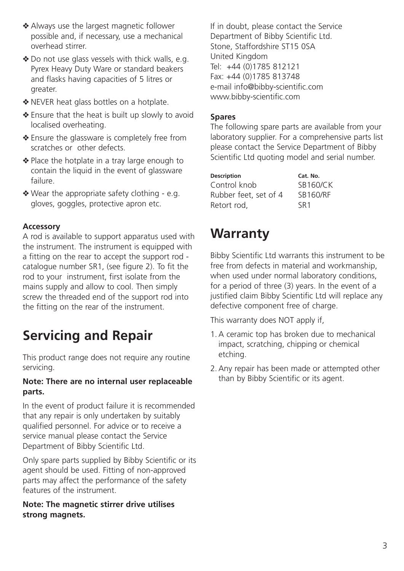- ❖ Always use the largest magnetic follower possible and, if necessary, use a mechanical overhead stirrer.
- ◆ Do not use glass vessels with thick walls, e.g. Pyrex Heavy Duty Ware or standard beakers and flasks having capacities of 5 litres or greater.
- ❖ NEVER heat glass bottles on a hotplate.
- ◆ Ensure that the heat is built up slowly to avoid localised overheating.
- ❖ Ensure the glassware is completely free from scratches or other defects.
- ◆ Place the hotplate in a tray large enough to contain the liquid in the event of glassware failure.
- ◆ Wear the appropriate safety clothing e.g. gloves, goggles, protective apron etc.

#### **Accessory**

A rod is available to support apparatus used with the instrument. The instrument is equipped with a fitting on the rear to accept the support rod catalogue number SR1, (see figure 2). To fit the rod to your instrument, first isolate from the mains supply and allow to cool. Then simply screw the threaded end of the support rod into the fitting on the rear of the instrument.

# **Servicing and Repair**

This product range does not require any routine servicing.

#### **Note: There are no internal user replaceable parts.**

In the event of product failure it is recommended that any repair is only undertaken by suitably qualified personnel. For advice or to receive a service manual please contact the Service Department of Bibby Scientific Ltd.

Only spare parts supplied by Bibby Scientific or its agent should be used. Fitting of non-approved parts may affect the performance of the safety features of the instrument.

#### **Note: The magnetic stirrer drive utilises strong magnets.**

If in doubt, please contact the Service Department of Bibby Scientific Ltd. Stone, Staffordshire ST15 0SA United Kingdom Tel: +44 (0)1785 812121 Fax: +44 (0)1785 813748 e-mail info@bibby-scientific.com www.bibby-scientific.com

#### **Spares**

The following spare parts are available from your laboratory supplier. For a comprehensive parts list please contact the Service Department of Bibby Scientific Ltd quoting model and serial number.

| Description           | Cat. No.        |
|-----------------------|-----------------|
| Control knob          | <b>SB160/CK</b> |
| Rubber feet, set of 4 | <b>SB160/RF</b> |
| Retort rod.           | SR <sub>1</sub> |

# **Warranty**

Bibby Scientific Ltd warrants this instrument to be free from defects in material and workmanship, when used under normal laboratory conditions. for a period of three (3) years. In the event of a justified claim Bibby Scientific Ltd will replace any defective component free of charge.

This warranty does NOT apply if,

- 1.A ceramic top has broken due to mechanical impact, scratching, chipping or chemical etching.
- 2.Any repair has been made or attempted other than by Bibby Scientific or its agent.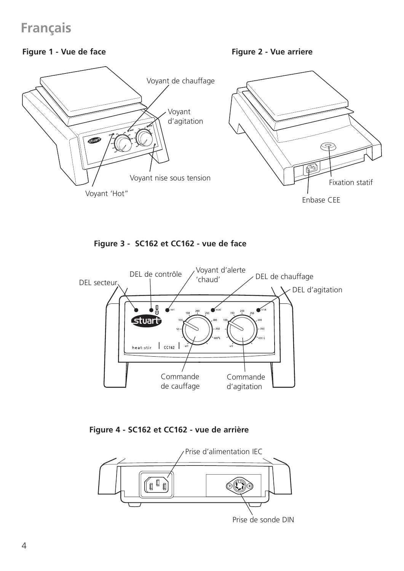### **Français**

#### **Figure 1 - Vue de face**

**Figure 2 - Vue arriere**



**Figure 3 - SC162 et CC162 - vue de face**



**Figure 4 - SC162 et CC162 - vue de arrière**



Prise de sonde DIN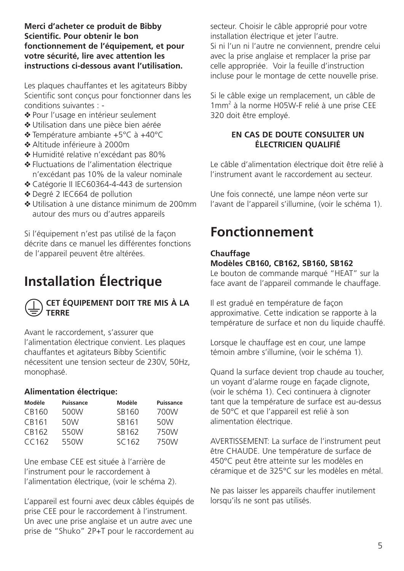**Merci d'acheter ce produit de Bibby Scientific. Pour obtenir le bon fonctionnement de l'équipement, et pour votre sécurité, lire avec attention les instructions ci-dessous avant l'utilisation.** 

Les plaques chauffantes et les agitateurs Bibby Scientific sont conçus pour fonctionner dans les conditions suivantes : -

- ❖ Pour l'usage en intérieur seulement
- ❖ Utilisation dans une pièce bien aérée
- ❖ Température ambiante +5°C à +40°C
- ❖ Altitude inférieure à 2000m
- ❖ Humidité relative n'excédant pas 80%
- ❖ Fluctuations de l'alimentation électrique n'excédant pas 10% de la valeur nominale
- ❖ Catégorie II IEC60364-4-443 de surtension
- ❖ Degré 2 IEC664 de pollution
- ❖ Utilisation à une distance minimum de 200mm autour des murs ou d'autres appareils

Si l'équipement n'est pas utilisé de la façon décrite dans ce manuel les différentes fonctions de l'appareil peuvent être altérées.

# **Installation électrique**



#### **CET ÉQUIPEMENT DOIT TRE MIS À LA TERRE**

Avant le raccordement, s'assurer que l'alimentation électrique convient. Les plaques chauffantes et agitateurs Bibby Scientific nécessitent une tension secteur de 230V, 50Hz, monophasé.

#### **Alimentation électrique:**

| Modèle | Puissance | Modèle            | Puissance |
|--------|-----------|-------------------|-----------|
| CB160  | 500W      | SB160             | 700W      |
| CB161  | 50W       | SB161             | 50W       |
| CB162  | 550W      | SB162             | 750W      |
| CC162  | 550W      | SC <sub>162</sub> | 750W      |

Une embase CEE est située à l'arrière de l'instrument pour le raccordement à l'alimentation électrique, (voir le schéma 2).

L'appareil est fourni avec deux câbles équipés de prise CEE pour le raccordement à l'instrument. Un avec une prise anglaise et un autre avec une prise de "Shuko" 2P+T pour le raccordement au secteur. Choisir le câble approprié pour votre installation électrique et jeter l'autre. Si ni l'un ni l'autre ne conviennent, prendre celui avec la prise anglaise et remplacer la prise par celle appropriée. Voir la feuille d'instruction incluse pour le montage de cette nouvelle prise.

Si le câble exige un remplacement, un câble de 1mm2 à la norme H05W-F relié à une prise CEE 320 doit être employé.

#### **EN CAS DE DOUTE CONSULTER UN ÉLECTRICIEN QUALIFIÉ**

Le câble d'alimentation électrique doit être relié à l'instrument avant le raccordement au secteur.

Une fois connecté, une lampe néon verte sur l'avant de l'appareil s'illumine, (voir le schéma 1).

## **Fonctionnement**

### **Chauffage**

#### **Modèles CB160, CB162, SB160, SB162**

Le bouton de commande marqué "HEAT" sur la face avant de l'appareil commande le chauffage.

Il est gradué en température de façon approximative. Cette indication se rapporte à la température de surface et non du liquide chauffé.

Lorsque le chauffage est en cour, une lampe témoin ambre s'illumine, (voir le schéma 1).

Quand la surface devient trop chaude au toucher, un voyant d'alarme rouge en façade clignote, (voir le schéma 1). Ceci continuera à clignoter tant que la température de surface est au-dessus de 50°C et que l'appareil est relié à son alimentation électrique.

AVERTISSEMENT: La surface de l'instrument peut être CHAUDE. Une température de surface de 450°C peut être atteinte sur les modèles en céramique et de 325°C sur les modèles en métal.

Ne pas laisser les appareils chauffer inutilement lorsqu'ils ne sont pas utilisés.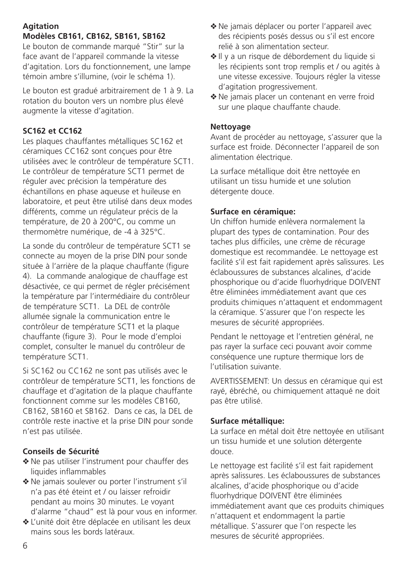### **Agitation**

### **Modèles CB161, CB162, SB161, SB162**

Le bouton de commande marqué "Stir" sur la face avant de l'appareil commande la vitesse d'agitation. Lors du fonctionnement, une lampe témoin ambre s'illumine, (voir le schéma 1).

Le bouton est gradué arbitrairement de 1 à 9. La rotation du bouton vers un nombre plus élevé augmente la vitesse d'agitation.

#### **SC162 et CC162**

Les plaques chauffantes métalliques SC162 et céramiques CC162 sont conçues pour être utilisées avec le contrôleur de température SCT1. Le contrôleur de température SCT1 permet de réguler avec précision la température des échantillons en phase aqueuse et huileuse en laboratoire, et peut être utilisé dans deux modes différents, comme un régulateur précis de la température, de 20 à 200°C, ou comme un thermomètre numérique, de -4 à 325°C.

La sonde du contrôleur de température SCT1 se connecte au moyen de la prise DIN pour sonde située à l'arrière de la plaque chauffante (figure 4). La commande analogique de chauffage est désactivée, ce qui permet de régler précisément la température par l'intermédiaire du contrôleur de température SCT1. La DEL de contrôle allumée signale la communication entre le contrôleur de température SCT1 et la plaque chauffante (figure 3). Pour le mode d'emploi complet, consulter le manuel du contrôleur de température SCT1.

Si SC162 ou CC162 ne sont pas utilisés avec le contrôleur de température SCT1, les fonctions de chauffage et d'agitation de la plaque chauffante fonctionnent comme sur les modèles CB160, CB162, SB160 et SB162. Dans ce cas, la DEL de contrôle reste inactive et la prise DIN pour sonde n'est pas utilisée.

#### **Conseils de Sécurité**

- ❖ Ne pas utiliser l'instrument pour chauffer des liquides inflammables
- ❖ Ne jamais soulever ou porter l'instrument s'il n'a pas été éteint et / ou laisser refroidir pendant au moins 30 minutes. Le voyant d'alarme "chaud" est là pour vous en informer.
- ❖ L'unité doit être déplacée en utilisant les deux mains sous les bords latéraux.
- ❖ Ne jamais déplacer ou porter l'appareil avec des récipients posés dessus ou s'il est encore relié à son alimentation secteur.
- ❖ Il y a un risque de débordement du liquide si les récipients sont trop remplis et / ou agités à une vitesse excessive. Toujours régler la vitesse d'agitation progressivement.
- ❖ Ne jamais placer un contenant en verre froid sur une plaque chauffante chaude.

#### **Nettoyage**

Avant de procéder au nettoyage, s'assurer que la surface est froide. Déconnecter l'appareil de son alimentation électrique.

La surface métallique doit être nettoyée en utilisant un tissu humide et une solution détergente douce.

#### **Surface en céramique:**

Un chiffon humide enlèvera normalement la plupart des types de contamination. Pour des taches plus difficiles, une crème de récurage domestique est recommandée. Le nettoyage est facilité s'il est fait rapidement après salissures. Les éclaboussures de substances alcalines, d'acide phosphorique ou d'acide fluorhydrique DOIVENT être éliminées immédiatement avant que ces produits chimiques n'attaquent et endommagent la céramique. S'assurer que l'on respecte les mesures de sécurité appropriées.

Pendant le nettoyage et l'entretien général, ne pas rayer la surface ceci pouvant avoir comme conséquence une rupture thermique lors de l'utilisation suivante.

AVERTISSEMENT: Un dessus en céramique qui est rayé, ébréché, ou chimiquement attaqué ne doit pas être utilisé.

#### **Surface métallique:**

La surface en métal doit être nettoyée en utilisant un tissu humide et une solution détergente douce.

Le nettoyage est facilité s'il est fait rapidement après salissures. Les éclaboussures de substances alcalines, d'acide phosphorique ou d'acide fluorhydrique DOIVENT être éliminées immédiatement avant que ces produits chimiques n'attaquent et endommagent la partie métallique. S'assurer que l'on respecte les mesures de sécurité appropriées.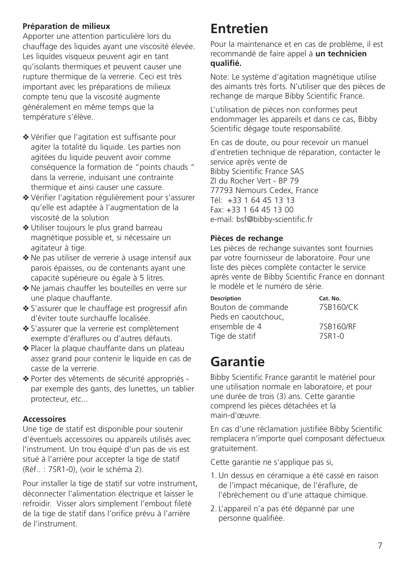#### **Préparation de milieux**

Apporter une attention particulière lors du chauffage des liquides ayant une viscosité élevée. Les liquides visqueux peuvent agir en tant qu'isolants thermiques et peuvent causer une rupture thermique de la verrerie. Ceci est très important avec les préparations de milieux compte tenu que la viscosité augmente généralement en même temps que la température s'élève.

- ❖ Vérifier que l'agitation est suffisante pour agiter la totalité du liquide. Les parties non agitées du liquide peuvent avoir comme conséquence la formation de "points chauds " dans la verrerie, induisant une contrainte thermique et ainsi causer une cassure.
- ❖ Vérifier l'agitation régulièrement pour s'assurer qu'elle est adaptée à l'augmentation de la viscosité de la solution
- ❖ Utiliser toujours le plus grand barreau magnétique possible et, si nécessaire un agitateur à tige.
- ❖ Ne pas utiliser de verrerie à usage intensif aux parois épaisses, ou de contenants ayant une capacité supérieure ou égale à 5 litres.
- ❖ Ne jamais chauffer les bouteilles en verre sur une plaque chauffante.
- ❖ S'assurer que le chauffage est progressif afin d'éviter toute surchauffe localisée.
- ❖ S'assurer que la verrerie est complètement exempte d'éraflures ou d'autres défauts.
- ❖ Placer la plaque chauffante dans un plateau assez grand pour contenir le liquide en cas de casse de la verrerie.
- ❖ Porter des vêtements de sécurité appropriés par exemple des gants, des lunettes, un tablier protecteur, etc...

#### **Accessoires**

Une tige de statif est disponible pour soutenir d'éventuels accessoires ou appareils utilisés avec l'instrument. Un trou équipé d'un pas de vis est situé à l'arrière pour accepter la tige de statif (Réf.. : 7SR1-0), (voir le schéma 2).

Pour installer la tige de statif sur votre instrument déconnecter l'alimentation électrique et laisser le refroidir. Visser alors simplement l'embout fileté de la tige de statif dans l'orifice prévu à l'arrière de l'instrument.

# **Entretien**

Pour la maintenance et en cas de problème, il est recommandé de faire appel à **un technicien qualifié.**

Note: Le système d'agitation magnétique utilise des aimants très forts. N'utiliser que des pièces de rechange de marque Bibby Scientific France.

L'utilisation de pièces non conformes peut endommager les appareils et dans ce cas, Bibby Scientific dégage toute responsabilité.

En cas de doute, ou pour recevoir un manuel d'entretien technique de réparation, contacter le service après vente de Bibby Scientific France SAS ZI du Rocher Vert - BP 79 77793 Nemours Cedex, France Tél: +33 1 64 45 13 13 Fax: +33 1 64 45 13 00 e-mail: bsf@bibby-scientific.fr

#### **Pièces de rechange**

Les pièces de rechange suivantes sont fournies par votre fournisseur de laboratoire. Pour une liste des pièces complète contacter le service après vente de Bibby Scientific France en donnant le modèle et le numéro de série.

| Cat. No.  |
|-----------|
| 7SB160/CK |
|           |
| 7SB160/RF |
| 7SR1-0    |
|           |

### **Garantie**

Bibby Scientific France garantit le matériel pour une utilisation normale en laboratoire, et pour une durée de trois (3) ans. Cette garantie comprend les pièces détachées et la main-d'œuvre.

En cas d'une réclamation justifiée Bibby Scientific remplacera n'importe quel composant défectueux gratuitement.

Cette garantie ne s'applique pas si,

- 1.Un dessus en céramique a été cassé en raison de l'impact mécanique, de l'éraflure, de l'ébrèchement ou d'une attaque chimique.
- 2. L'appareil n'a pas été dépanné par une personne qualifiée.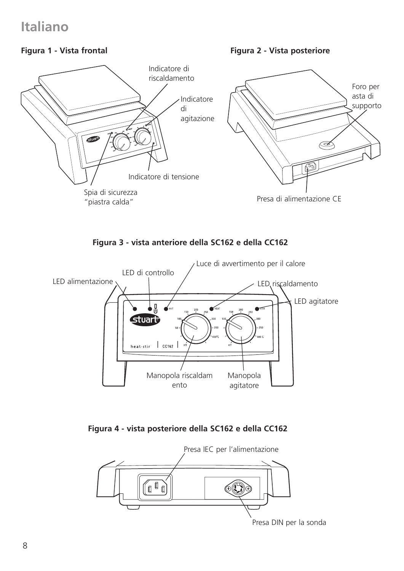### **Italiano**

### **Figura 1 - Vista frontal**

**Figura 2 - Vista posteriore**







**Figura 4 - vista posteriore della SC162 e della CC162**



Presa DIN per la sonda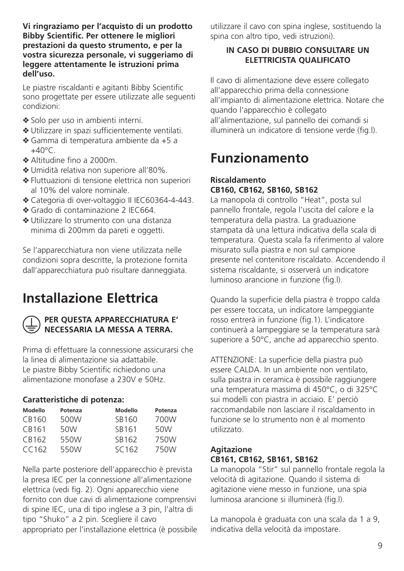**Vi ringraziamo per l'acquisto di un prodotto Bibby Scientific. Per ottenere le migliori prestazioni da questo strumento, e per la vostra sicurezza personale, vi suggeriamo di leggere attentamente le istruzioni prima dell'uso.**

Le piastre riscaldanti e agitanti Bibby Scientific sono progettate per essere utilizzate alle seguenti condizioni:

- ❖ Solo per uso in ambienti interni.
- ❖ Utilizzare in spazi sufficientemente ventilati.
- ❖ Gamma di temperatura ambiente da +5 a  $+40^{\circ}$ C
- ❖ Altitudine fino a 2000m.
- ❖ Umidità relativa non superiore all'80%.
- ❖ Fluttuazioni di tensione elettrica non superiori al 10% del valore nominale.
- ❖ Categoria di over-voltaggio II IEC60364-4-443.
- ❖ Grado di contaminazione 2 IEC664.
- ❖ Utilizzare lo strumento con una distanza minima di 200mm da pareti e oggetti.

Se l'apparecchiatura non viene utilizzata nelle condizioni sopra descritte, la protezione fornita dall'apparecchiatura può risultare danneggiata.

# **Installazione Elettrica**



#### **PER QUESTA APPARECCHIATURA E' NECESSARIA LA MESSA A TERRA.**

Prima di effettuare la connessione assicurarsi che la linea di alimentazione sia adattabile. Le piastre Bibby Scientific richiedono una alimentazione monofase a 230V e 50Hz.

#### **Caratteristiche di potenza:**

| Modello | Potenza | Modello | Potenza |
|---------|---------|---------|---------|
| CB160   | 500W    | SB160   | 700W    |
| CB161   | 50W     | SB161   | 50W     |
| CB162   | 550W    | SB162   | 750W    |
| CC162   | 550W    | SC162   | 750W    |

Nella parte posteriore dell'apparecchio è prevista la presa IEC per la connessione all'alimentazione elettrica (vedi fig. 2). Ogni apparecchio viene fornito con due cavi di alimentazione comprensivi di spine IEC, una di tipo inglese a 3 pin, l'altra di tipo "Shuko" a 2 pin. Scegliere il cavo appropriato per l'installazione elettrica (è possibile utilizzare il cavo con spina inglese, sostituendo la spina con altro tipo, vedi istruzioni).

#### **IN CASO DI DUBBIO CONSULTARE UN ELETTRICISTA QUALIFICATO**

Il cavo di alimentazione deve essere collegato all'apparecchio prima della connessione all'impianto di alimentazione elettrica. Notare che quando l'apparecchio è collegato all'alimentazione, sul pannello dei comandi si illuminerà un indicatore di tensione verde (fig.l).

### **Funzionamento**

#### **Riscaldamento CB160, CB162, SB160, SB162**

La manopola di controllo "Heat", posta sul pannello frontale, regola l'uscita del calore e la temperatura della piastra. La graduazione stampata dà una lettura indicativa della scala di temperatura. Questa scala fa riferimento al valore misurato sulla piastra e non sul campione presente nel contenitore riscaldato. Accendendo il sistema riscaldante, si osserverà un indicatore luminoso arancione in funzione (fig.l).

Quando la superficie della piastra è troppo calda per essere toccata, un indicatore lampeggiante rosso entrerà in funzione (fig.1). L'indicatore continuerà a lampeggiare se la temperatura sarà superiore a 50°C, anche ad apparecchio spento.

ATTENZIONE: La superficie della piastra può essere CALDA. In un ambiente non ventilato, sulla piastra in ceramica è possibile raggiungere una temperatura massima di 450°C, o di 325°C sui modelli con piastra in acciaio. E' perciò raccomandabile non lasciare il riscaldamento in funzione se lo strumento non è al momento utilizzato.

#### **Agitazione CB161, CB162, SB161, SB162**

La manopola "Stir" sul pannello frontale regola la velocità di agitazione. Quando il sistema di agitazione viene messo in funzione, una spia luminosa arancione si illuminerà (fig.l).

La manopola è graduata con una scala da 1 a 9, indicativa della velocità da impostare.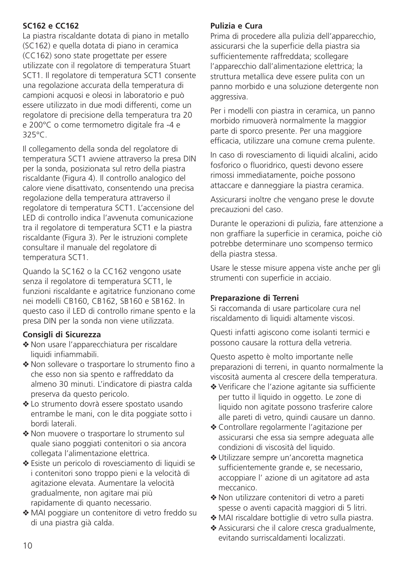### **SC162 e CC162**

La piastra riscaldante dotata di piano in metallo (SC162) e quella dotata di piano in ceramica (CC162) sono state progettate per essere utilizzate con il regolatore di temperatura Stuart SCT1. Il regolatore di temperatura SCT1 consente una regolazione accurata della temperatura di campioni acquosi e oleosi in laboratorio e può essere utilizzato in due modi differenti, come un regolatore di precisione della temperatura tra 20 e 200°C o come termometro digitale fra -4 e 325°C.

Il collegamento della sonda del regolatore di temperatura SCT1 avviene attraverso la presa DIN per la sonda, posizionata sul retro della piastra riscaldante (Figura 4). Il controllo analogico del calore viene disattivato, consentendo una precisa regolazione della temperatura attraverso il regolatore di temperatura SCT1. L'accensione del LED di controllo indica l'avvenuta comunicazione tra il regolatore di temperatura SCT1 e la piastra riscaldante (Figura 3). Per le istruzioni complete consultare il manuale del regolatore di temperatura SCT1.

Quando la SC162 o la CC162 vengono usate senza il regolatore di temperatura SCT1, le funzioni riscaldante e agitatrice funzionano come nei modelli CB160, CB162, SB160 e SB162. In questo caso il LED di controllo rimane spento e la presa DIN per la sonda non viene utilizzata.

#### **Consigli di Sicurezza**

- ❖ Non usare l'apparecchiatura per riscaldare liquidi infiammabili.
- ❖ Non sollevare o trasportare lo strumento fino a che esso non sia spento e raffreddato da almeno 30 minuti. L'indicatore di piastra calda preserva da questo pericolo.
- ❖ Lo strumento dovrà essere spostato usando entrambe le mani, con le dita poggiate sotto i bordi laterali.
- ❖ Non muovere o trasportare lo strumento sul quale siano poggiati contenitori o sia ancora collegata l'alimentazione elettrica.
- ❖ Esiste un pericolo di rovesciamento di liquidi se i contenitori sono troppo pieni e la velocità di agitazione elevata. Aumentare la velocità gradualmente, non agitare mai più rapidamente di quanto necessario.
- ❖ MAI poggiare un contenitore di vetro freddo su di una piastra già calda.

#### **Pulizia e Cura**

Prima di procedere alla pulizia dell'apparecchio, assicurarsi che la superficie della piastra sia sufficientemente raffreddata; scollegare l'apparecchio dall'alimentazione elettrica; la struttura metallica deve essere pulita con un panno morbido e una soluzione detergente non aggressiva.

Per i modelli con piastra in ceramica, un panno morbido rimuoverà normalmente la maggior parte di sporco presente. Per una maggiore efficacia, utilizzare una comune crema pulente.

In caso di rovesciamento di liquidi alcalini, acido fosforico o fluoridrico, questi devono essere rimossi immediatamente, poiche possono attaccare e danneggiare la piastra ceramica.

Assicurarsi inoltre che vengano prese le dovute precauzioni del caso.

Durante le operazioni di pulizia, fare attenzione a non graffiare la superficie in ceramica, poiche ciò potrebbe determinare uno scompenso termico della piastra stessa.

Usare le stesse misure appena viste anche per gli strumenti con superficie in acciaio.

#### **Preparazione di Terreni**

Si raccomanda di usare particolare cura nel riscaldamento di liquidi altamente viscosi.

Questi infatti agiscono come isolanti termici e possono causare la rottura della vetreria.

Questo aspetto è molto importante nelle preparazioni di terreni, in quanto normalmente la viscosità aumenta al crescere della temperatura.

- ❖ Verificare che l'azione agitante sia sufficiente per tutto il liquido in oggetto. Le zone di liquido non agitate possono trasferire calore alle pareti di vetro, quindi causare un danno.
- ❖ Controllare regolarmente l'agitazione per assicurarsi che essa sia sempre adeguata alle condizioni di viscosità del liquido.
- ❖ Utilizzare sempre un'ancoretta magnetica sufficientemente grande e, se necessario, accoppiare l' azione di un agitatore ad asta meccanico.
- ❖ Non utilizzare contenitori di vetro a pareti spesse o aventi capacità maggiori di 5 litri.
- ❖ MAI riscaldare bottiglie di vetro sulla piastra.
- ❖ Assicurarsi che il calore cresca gradualmente, evitando surriscaldamenti localizzati.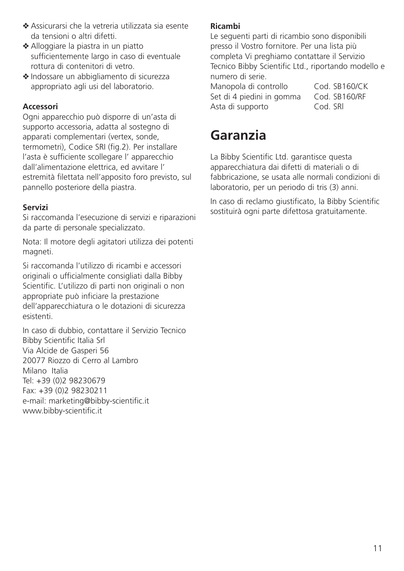- ❖ Assicurarsi che la vetreria utilizzata sia esente da tensioni o altri difetti.
- ❖ Alloggiare la piastra in un piatto sufficientemente largo in caso di eventuale rottura di contenitori di vetro.
- ❖ Indossare un abbigliamento di sicurezza appropriato agli usi del laboratorio.

#### **Accessori**

Ogni apparecchio può disporre di un'asta di supporto accessoria, adatta al sostegno di apparati complementari (vertex, sonde, termometri), Codice SRI (fig.2). Per installare l'asta è sufficiente scollegare l' apparecchio dall'alimentazione elettrica, ed avvitare l' estremità filettata nell'apposito foro previsto, sul pannello posteriore della piastra.

#### **Servizi**

Si raccomanda l'esecuzione di servizi e riparazioni da parte di personale specializzato.

Nota: Il motore degli agitatori utilizza dei potenti magneti.

Si raccomanda l'utilizzo di ricambi e accessori originali o ufficialmente consigliati dalla Bibby Scientific. L'utilizzo di parti non originali o non appropriate può inficiare la prestazione dell'apparecchiatura o le dotazioni di sicurezza esistenti.

In caso di dubbio, contattare il Servizio Tecnico Bibby Scientific Italia Srl Via Alcide de Gasperi 56 20077 Riozzo di Cerro al Lambro Milano Italia Tel: +39 (0)2 98230679 Fax: +39 (0)2 98230211 e-mail: marketing@bibby-scientific.it www.bibby-scientific.it

#### **Ricambi**

Le seguenti parti di ricambio sono disponibili presso il Vostro fornitore. Per una lista più completa Vi preghiamo contattare il Servizio Tecnico Bibby Scientific Ltd., riportando modello e numero di serie.

Manopola di controllo Cod. SB160/CK Set di 4 piedini in gomma Cod. SB160/RF<br>Asta di supporto Cod. SRI Asta di supporto

### **Garanzia**

La Bibby Scientific Ltd. garantisce questa apparecchiatura dai difetti di materiali o di fabbricazione, se usata alle normali condizioni di laboratorio, per un periodo di tris (3) anni.

In caso di reclamo giustificato, la Bibby Scientific sostituirà ogni parte difettosa gratuitamente.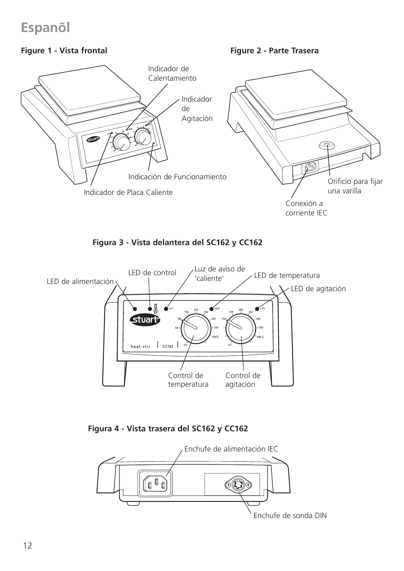## **Espanol ˜**

### **Figure 1 - Vista frontal**

**Figure 2 - Parte Trasera**



**Figura 3 - Vista delantera del SC162 y CC162** 



**Figura 4 - Vista trasera del SC162 y CC162** 

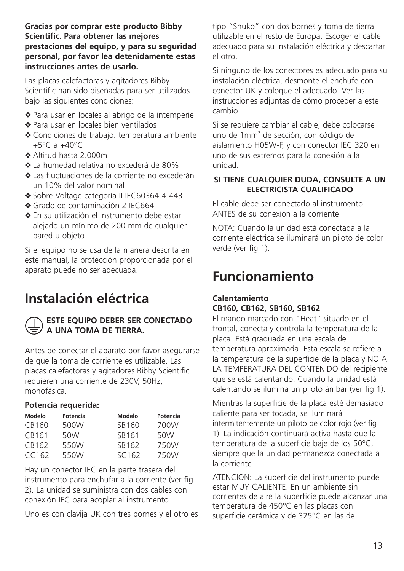**Gracias por comprar este producto Bibby Scientific. Para obtener las mejores prestaciones del equipo, y para su seguridad personal, por favor lea detenidamente estas instrucciones antes de usarlo.**

Las placas calefactoras y agitadores Bibby Scientific han sido diseñadas para ser utilizados bajo las siguientes condiciones:

- ❖ Para usar en locales al abrigo de la intemperie
- ❖ Para usar en locales bien ventilados
- ❖ Condiciones de trabajo: temperatura ambiente  $+5^{\circ}$ C a  $+40^{\circ}$ C
- ❖ Altitud hasta 2.000m
- ❖ La humedad relativa no excederá de 80%
- ❖ Las fluctuaciones de la corriente no excederán un 10% del valor nominal
- ❖ Sobre-Voltage categoría II IEC60364-4-443
- ❖ Grado de contaminación 2 IEC664
- ❖ En su utilización el instrumento debe estar alejado un mínimo de 200 mm de cualquier pared u objeto

Si el equipo no se usa de la manera descrita en este manual, la protección proporcionada por el aparato puede no ser adecuada.

### **Instalación eléctrica**



#### **ESTE EQUIPO DEBER SER CONECTADO A UNA TOMA DE TIERRA.**

Antes de conectar el aparato por favor asegurarse de que la toma de corriente es utilizable. Las placas calefactoras y agitadores Bibby Scientific requieren una corriente de 230V, 50Hz, monofásica.

#### **Potencia requerida:**

| Modelo | Potencia | Modelo            | Potencia |
|--------|----------|-------------------|----------|
| CB160  | 500W     | SB160             | 700W     |
| CB161  | 50W      | SB161             | 50W      |
| CB162  | 550W     | SB162             | 750W     |
| CC162  | 550W     | SC <sub>162</sub> | 750W     |

Hay un conector IEC en la parte trasera del instrumento para enchufar a la corriente (ver fig 2). La unidad se suministra con dos cables con conexión IEC para acoplar al instrumento.

Uno es con clavija UK con tres bornes y el otro es

tipo "Shuko" con dos bornes y toma de tierra utilizable en el resto de Europa. Escoger el cable adecuado para su instalación eléctrica y descartar el otro.

Si ninguno de los conectores es adecuado para su instalación eléctrica, desmonte el enchufe con conector UK y coloque el adecuado. Ver las instrucciones adjuntas de cómo proceder a este cambio.

Si se requiere cambiar el cable, debe colocarse uno de 1mm<sup>2</sup> de sección, con código de aislamiento H05W-F, y con conector IEC 320 en uno de sus extremos para la conexión a la unidad.

#### **SI TIENE CUALQUIER DUDA, CONSULTE A UN ELECTRICISTA CUALIFICADO**

El cable debe ser conectado al instrumento ANTES de su conexión a la corriente.

NOTA: Cuando la unidad está conectada a la corriente eléctrica se iluminará un piloto de color verde (ver fig 1).

### **Funcionamiento**

#### **Calentamiento CB160, CB162, SB160, SB162**

El mando marcado con "Heat" situado en el frontal, conecta y controla la temperatura de la placa. Está graduada en una escala de temperatura aproximada. Esta escala se refiere a la temperatura de la superficie de la placa y NO A LA TEMPERATURA DEL CONTENIDO del recipiente que se está calentando. Cuando la unidad está calentando se ilumina un piloto ámbar (ver fig 1).

Mientras la superficie de la placa esté demasiado caliente para ser tocada, se iluminará intermitentemente un piloto de color rojo (ver fig 1). La indicación continuará activa hasta que la temperatura de la superficie baje de los 50°C, siempre que la unidad permanezca conectada a la corriente.

ATENCION: La superficie del instrumento puede estar MUY CALIENTE. En un ambiente sin corrientes de aire la superficie puede alcanzar una temperatura de 450°C en las placas con superficie cerámica y de 325°C en las de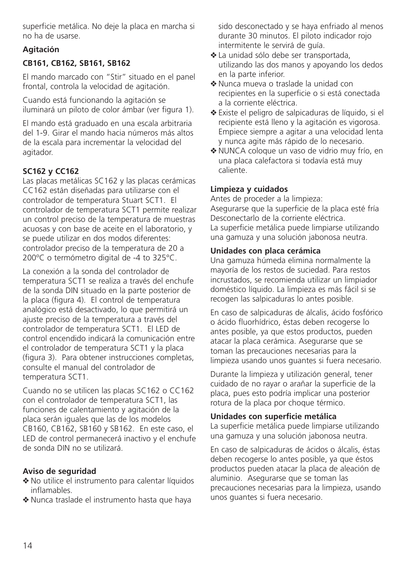superficie metálica. No deje la placa en marcha si no ha de usarse.

### **Agitación**

### **CB161, CB162, SB161, SB162**

El mando marcado con "Stir" situado en el panel frontal, controla la velocidad de agitación.

Cuando está funcionando la agitación se iluminará un piloto de color ámbar (ver figura 1).

El mando está graduado en una escala arbitraria del 1-9. Girar el mando hacia números más altos de la escala para incrementar la velocidad del agitador.

### **SC162 y CC162**

Las placas metálicas SC162 y las placas cerámicas CC162 están diseñadas para utilizarse con el controlador de temperatura Stuart SCT1. El controlador de temperatura SCT1 permite realizar un control preciso de la temperatura de muestras acuosas y con base de aceite en el laboratorio, y se puede utilizar en dos modos diferentes: controlador preciso de la temperatura de 20 a 200ºC o termómetro digital de -4 to 325°C.

La conexión a la sonda del controlador de temperatura SCT1 se realiza a través del enchufe de la sonda DIN situado en la parte posterior de la placa (figura 4). El control de temperatura analógico está desactivado, lo que permitirá un ajuste preciso de la temperatura a través del controlador de temperatura SCT1. El LED de control encendido indicará la comunicación entre el controlador de temperatura SCT1 y la placa (figura 3). Para obtener instrucciones completas, consulte el manual del controlador de temperatura SCT1.

Cuando no se utilicen las placas SC162 o CC162 con el controlador de temperatura SCT1, las funciones de calentamiento y agitación de la placa serán iguales que las de los modelos CB160, CB162, SB160 y SB162. En este caso, el LED de control permanecerá inactivo y el enchufe de sonda DIN no se utilizará.

#### **Aviso de seguridad**

- ❖ No utilice el instrumento para calentar líquidos inflamables.
- ❖ Nunca traslade el instrumento hasta que haya

sido desconectado y se haya enfriado al menos durante 30 minutos. El piloto indicador rojo intermitente le servirá de guía.

- ❖ La unidad sólo debe ser transportada, utilizando las dos manos y apoyando los dedos en la parte inferior.
- ❖ Nunca mueva o traslade la unidad con recipientes en la superficie o si está conectada a la corriente eléctrica.
- ❖ Existe el peligro de salpicaduras de líquido, si el recipiente está lleno y la agitación es vigorosa. Empiece siempre a agitar a una velocidad lenta y nunca agite más rápido de lo necesario.
- ❖ NUNCA coloque un vaso de vidrio muy frío, en una placa calefactora si todavía está muy caliente.

#### **Limpieza y cuidados**

Antes de proceder a la limpieza: Asegurarse que la superficie de la placa esté fría Desconectarlo de la corriente eléctrica. La superficie metálica puede limpiarse utilizando una gamuza y una solución jabonosa neutra.

#### **Unidades con placa cerámica**

Una gamuza húmeda elimina normalmente la mayoría de los restos de suciedad. Para restos incrustados, se recomienda utilizar un limpiador doméstico líquido. La limpieza es más fácil si se recogen las salpicaduras lo antes posible.

En caso de salpicaduras de álcalis, ácido fosfórico o ácido fluorhídrico, éstas deben recogerse lo antes posible, ya que estos productos, pueden atacar la placa cerámica. Asegurarse que se toman las precauciones necesarias para la limpieza usando unos guantes si fuera necesario.

Durante la limpieza y utilización general, tener cuidado de no rayar o arañar la superficie de la placa, pues esto podría implicar una posterior rotura de la placa por choque térmico.

#### **Unidades con superficie metálica**

La superficie metálica puede limpiarse utilizando una gamuza y una solución jabonosa neutra.

En caso de salpicaduras de ácidos o álcalis, éstas deben recogerse lo antes posible, ya que éstos productos pueden atacar la placa de aleación de aluminio. Asegurarse que se toman las precauciones necesarias para la limpieza, usando unos guantes si fuera necesario.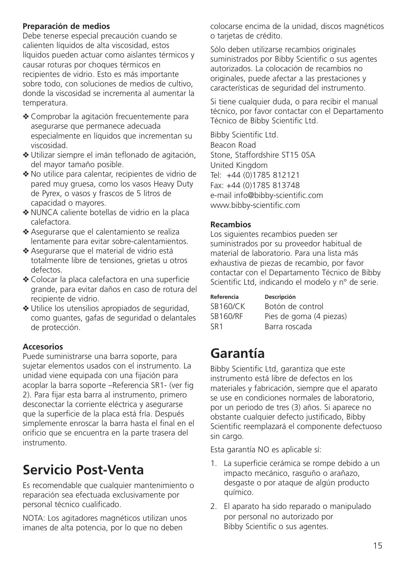#### **Preparación de medios**

Debe tenerse especial precaución cuando se calienten líquidos de alta viscosidad, estos líquidos pueden actuar como aislantes térmicos y causar roturas por choques térmicos en recipientes de vidrio. Esto es más importante sobre todo, con soluciones de medios de cultivo, donde la viscosidad se incrementa al aumentar la temperatura.

- ❖ Comprobar la agitación frecuentemente para asegurarse que permanece adecuada especialmente en líquidos que incrementan su viscosidad.
- ❖ Utilizar siempre el imán teflonado de agitación, del mayor tamaño posible.
- ❖ No utilice para calentar, recipientes de vidrio de pared muy gruesa, como los vasos Heavy Duty de Pyrex, o vasos y frascos de 5 litros de capacidad o mayores.
- ❖ NUNCA caliente botellas de vidrio en la placa calefactora.
- ❖ Asegurarse que el calentamiento se realiza lentamente para evitar sobre-calentamientos.
- ❖ Asegurarse que el material de vidrio está totalmente libre de tensiones, grietas u otros defectos.
- ❖ Colocar la placa calefactora en una superficie grande, para evitar daños en caso de rotura del recipiente de vidrio.
- ❖ Utilice los utensilios apropiados de seguridad, como guantes, gafas de seguridad o delantales de protección.

#### **Accesorios**

Puede suministrarse una barra soporte, para sujetar elementos usados con el instrumento. La unidad viene equipada con una fijación para acoplar la barra soporte –Referencia SR1- (ver fig 2). Para fijar esta barra al instrumento, primero desconectar la corriente eléctrica y asegurarse que la superficie de la placa está fría. Después simplemente enroscar la barra hasta el final en el orificio que se encuentra en la parte trasera del instrumento.

# **Servicio Post-Venta**

Es recomendable que cualquier mantenimiento o reparación sea efectuada exclusivamente por personal técnico cualificado.

NOTA: Los agitadores magnéticos utilizan unos imanes de alta potencia, por lo que no deben

colocarse encima de la unidad, discos magnéticos o tarjetas de crédito.

Sólo deben utilizarse recambios originales suministrados por Bibby Scientific o sus agentes autorizados. La colocación de recambios no originales, puede afectar a las prestaciones y características de seguridad del instrumento.

Si tiene cualquier duda, o para recibir el manual técnico, por favor contactar con el Departamento Técnico de Bibby Scientific Ltd.

Bibby Scientific Ltd. Beacon Road Stone, Staffordshire ST15 0SA United Kingdom Tel: +44 (0)1785 812121 Fax: +44 (0)1785 813748 e-mail info@bibby-scientific.com www.bibby-scientific.com

#### **Recambios**

Los siguientes recambios pueden ser suministrados por su proveedor habitual de material de laboratorio. Para una lista más exhaustiva de piezas de recambio, por favor contactar con el Departamento Técnico de Bibby Scientific Ltd, indicando el modelo y n° de serie.

| Referencia      | Descripción             |
|-----------------|-------------------------|
| <b>SB160/CK</b> | Botón de control        |
| <b>SB160/RF</b> | Pies de goma (4 piezas) |
| SR <sub>1</sub> | Barra roscada           |

# **Garantía**

Bibby Scientific Ltd, garantiza que este instrumento está libre de defectos en los materiales y fabricación, siempre que el aparato se use en condiciones normales de laboratorio, por un periodo de tres (3) años. Si aparece no obstante cualquier defecto justificado, Bibby Scientific reemplazará el componente defectuoso sin cargo.

Esta garantía NO es aplicable sí:

- 1. La superficie cerámica se rompe debido a un impacto mecánico, rasguño o arañazo, desgaste o por ataque de algún producto químico.
- 2. El aparato ha sido reparado o manipulado por personal no autorizado por Bibby Scientific o sus agentes.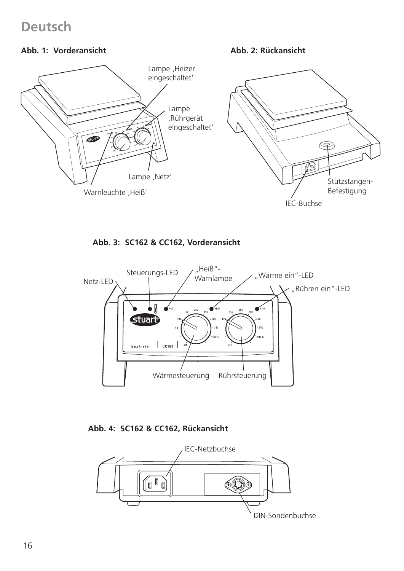### **Deutsch**

#### **Abb. 1: Vorderansicht**

**Abb. 2: Rückansicht**



**Abb. 3: SC162 & CC162, Vorderansicht**



**Abb. 4: SC162 & CC162, Rückansicht**

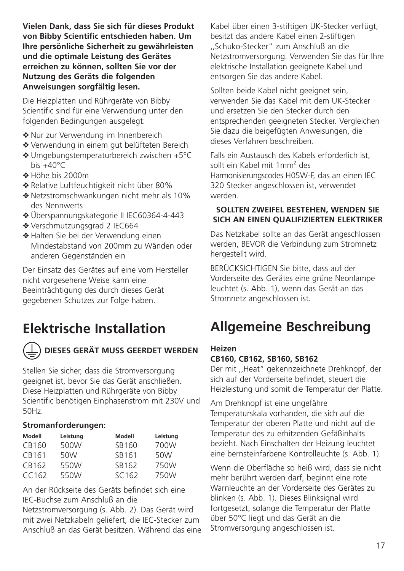**Vielen Dank, dass Sie sich für dieses Produkt von Bibby Scientific entschieden haben. Um Ihre persönliche Sicherheit zu gewährleisten und die optimale Leistung des Gerätes erreichen zu können, sollten Sie vor der Nutzung des Geräts die folgenden Anweisungen sorgfältig lesen.**

Die Heizplatten und Rührgeräte von Bibby Scientific sind für eine Verwendung unter den folgenden Bedingungen ausgelegt:

- ❖ Nur zur Verwendung im Innenbereich
- ❖ Verwendung in einem gut belüfteten Bereich
- ❖ Umgebungstemperaturbereich zwischen +5°C bis  $+40^{\circ}$ C
- ❖ Höhe bis 2000m
- ❖ Relative Luftfeuchtigkeit nicht über 80%
- ❖ Netzstromschwankungen nicht mehr als 10% des Nennwerts
- ❖ Überspannungskategorie II IEC60364-4-443
- ❖ Verschmutzungsgrad 2 IEC664
- ❖ Halten Sie bei der Verwendung einen Mindestabstand von 200mm zu Wänden oder anderen Gegenständen ein

Der Einsatz des Gerätes auf eine vom Hersteller nicht vorgesehene Weise kann eine Beeinträchtigung des durch dieses Gerät gegebenen Schutzes zur Folge haben.

### **Elektrische Installation**



### **DIESES GERÄT MUSS GEERDET WERDEN**

Stellen Sie sicher, dass die Stromversorgung geeignet ist, bevor Sie das Gerät anschließen. Diese Heizplatten und Rührgeräte von Bibby Scientific benötigen Einphasenstrom mit 230V und 50Hz.

#### **Stromanforderungen:**

| Modell | Leistung | Modell | Leistung |
|--------|----------|--------|----------|
| CB160  | 500W     | SB160  | 700W     |
| CB161  | 50W      | SB161  | 50W      |
| CB162  | 550W     | SB162  | 750W     |
| CC162  | 550W     | SC162  | 750W     |

An der Rückseite des Geräts befindet sich eine IEC-Buchse zum Anschluß an die

Netzstromversorgung (s. Abb. 2). Das Gerät wird mit zwei Netzkabeln geliefert, die IEC-Stecker zum Anschluß an das Gerät besitzen. Während das eine Kabel über einen 3-stiftigen UK-Stecker verfügt, besitzt das andere Kabel einen 2-stiftigen ,,Schuko-Stecker" zum Anschluß an die Netzstromversorgung. Verwenden Sie das für Ihre elektrische Installation geeignete Kabel und entsorgen Sie das andere Kabel.

Sollten beide Kabel nicht geeignet sein, verwenden Sie das Kabel mit dem UK-Stecker und ersetzen Sie den Stecker durch den entsprechenden geeigneten Stecker. Vergleichen Sie dazu die beigefügten Anweisungen, die dieses Verfahren beschreiben.

Falls ein Austausch des Kabels erforderlich ist, sollt ein Kabel mit 1mm<sup>2</sup> des Harmonisierungscodes H05W-F, das an einen IEC 320 Stecker angeschlossen ist, verwendet werden.

#### **SOLLTEN ZWEIFEL BESTEHEN, WENDEN SIE SICH AN EINEN QUALIFIZIERTEN ELEKTRIKER**

Das Netzkabel sollte an das Gerät angeschlossen werden, BEVOR die Verbindung zum Stromnetz hergestellt wird.

BERÜCKSICHTIGEN Sie bitte, dass auf der Vorderseite des Gerätes eine grüne Neonlampe leuchtet (s. Abb. 1), wenn das Gerät an das Stromnetz angeschlossen ist.

### **Allgemeine Beschreibung**

#### **Heizen**

#### **CB160, CB162, SB160, SB162**

Der mit ,,Heat" gekennzeichnete Drehknopf, der sich auf der Vorderseite befindet, steuert die Heizleistung und somit die Temperatur der Platte.

Am Drehknopf ist eine ungefähre Temperaturskala vorhanden, die sich auf die Temperatur der oberen Platte und nicht auf die Temperatur des zu erhitzenden Gefäßinhalts bezieht. Nach Einschalten der Heizung leuchtet eine bernsteinfarbene Kontrolleuchte (s. Abb. 1).

Wenn die Oberfläche so heiß wird, dass sie nicht mehr berührt werden darf, beginnt eine rote Warnleuchte an der Vorderseite des Gerätes zu blinken (s. Abb. 1). Dieses Blinksignal wird fortgesetzt, solange die Temperatur der Platte über 50°C liegt und das Gerät an die Stromversorgung angeschlossen ist.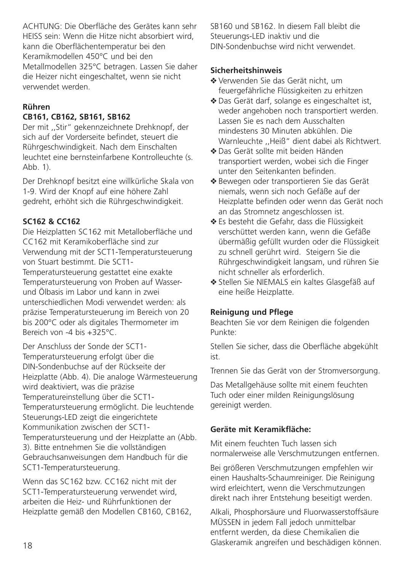ACHTUNG: Die Oberfläche des Gerätes kann sehr HEISS sein: Wenn die Hitze nicht absorbiert wird, kann die Oberflächentemperatur bei den Keramikmodellen 450°C und bei den Metallmodellen 325°C betragen. Lassen Sie daher die Heizer nicht eingeschaltet, wenn sie nicht verwendet werden.

### **Rühren**

#### **CB161, CB162, SB161, SB162**

Der mit ,,Stir" gekennzeichnete Drehknopf, der sich auf der Vorderseite befindet, steuert die Rührgeschwindigkeit. Nach dem Einschalten leuchtet eine bernsteinfarbene Kontrolleuchte (s.  $A$ hh 1).

Der Drehknopf besitzt eine willkürliche Skala von 1-9. Wird der Knopf auf eine höhere Zahl gedreht, erhöht sich die Rührgeschwindigkeit.

#### **SC162 & CC162**

Die Heizplatten SC162 mit Metalloberfläche und CC162 mit Keramikoberfläche sind zur Verwendung mit der SCT1-Temperatursteuerung von Stuart bestimmt. Die SCT1-

Temperatursteuerung gestattet eine exakte Temperatursteuerung von Proben auf Wasserund Ölbasis im Labor und kann in zwei unterschiedlichen Modi verwendet werden: als präzise Temperatursteuerung im Bereich von 20 bis 200°C oder als digitales Thermometer im Bereich von -4 bis +325°C.

Der Anschluss der Sonde der SCT1- Temperatursteuerung erfolgt über die DIN-Sondenbuchse auf der Rückseite der Heizplatte (Abb. 4). Die analoge Wärmesteuerung wird deaktiviert, was die präzise Temperatureinstellung über die SCT1- Temperatursteuerung ermöglicht. Die leuchtende Steuerungs-LED zeigt die eingerichtete Kommunikation zwischen der SCT1- Temperatursteuerung und der Heizplatte an (Abb. 3). Bitte entnehmen Sie die vollständigen Gebrauchsanweisungen dem Handbuch für die SCT1-Temperatursteuerung.

Wenn das SC162 bzw. CC162 nicht mit der SCT1-Temperatursteuerung verwendet wird, arbeiten die Heiz- und Rührfunktionen der Heizplatte gemäß den Modellen CB160, CB162, SB160 und SB162. In diesem Fall bleibt die Steuerungs-LED inaktiv und die DIN-Sondenbuchse wird nicht verwendet.

#### **Sicherheitshinweis**

- ❖ Verwenden Sie das Gerät nicht, um feuergefährliche Flüssigkeiten zu erhitzen
- ❖ Das Gerät darf, solange es eingeschaltet ist, weder angehoben noch transportiert werden. Lassen Sie es nach dem Ausschalten mindestens 30 Minuten abkühlen. Die Warnleuchte ,,Heiß" dient dabei als Richtwert.
- ❖ Das Gerät sollte mit beiden Händen transportiert werden, wobei sich die Finger unter den Seitenkanten befinden.
- ❖ Bewegen oder transportieren Sie das Gerät niemals, wenn sich noch Gefäße auf der Heizplatte befinden oder wenn das Gerät noch an das Stromnetz angeschlossen ist.
- ❖ Es besteht die Gefahr, dass die Flüssigkeit verschüttet werden kann, wenn die Gefäße übermäßig gefüllt wurden oder die Flüssigkeit zu schnell gerührt wird. Steigern Sie die Rührgeschwindigkeit langsam, und rühren Sie nicht schneller als erforderlich.
- ❖ Stellen Sie NIEMALS ein kaltes Glasgefäß auf eine heiße Heizplatte.

#### **Reinigung und Pflege**

Beachten Sie vor dem Reinigen die folgenden Punkte:

Stellen Sie sicher, dass die Oberfläche abgekühlt ist.

Trennen Sie das Gerät von der Stromversorgung.

Das Metallgehäuse sollte mit einem feuchten Tuch oder einer milden Reinigungslösung gereinigt werden.

#### **Geräte mit Keramikfläche:**

Mit einem feuchten Tuch lassen sich normalerweise alle Verschmutzungen entfernen.

Bei größeren Verschmutzungen empfehlen wir einen Haushalts-Schaumreiniger. Die Reinigung wird erleichtert, wenn die Verschmutzungen direkt nach ihrer Entstehung beseitigt werden.

Alkali, Phosphorsäure und Fluorwasserstoffsäure MÜSSEN in jedem Fall jedoch unmittelbar entfernt werden, da diese Chemikalien die Glaskeramik angreifen und beschädigen können.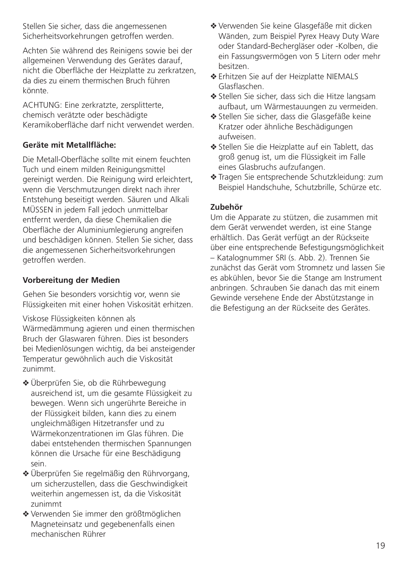Stellen Sie sicher, dass die angemessenen Sicherheitsvorkehrungen getroffen werden.

Achten Sie während des Reinigens sowie bei der allgemeinen Verwendung des Gerätes darauf, nicht die Oberfläche der Heizplatte zu zerkratzen, da dies zu einem thermischen Bruch führen könnte.

ACHTUNG: Eine zerkratzte, zersplitterte, chemisch verätzte oder beschädigte Keramikoberfläche darf nicht verwendet werden.

#### **Geräte mit Metallfläche:**

Die Metall-Oberfläche sollte mit einem feuchten Tuch und einem milden Reinigungsmittel gereinigt werden. Die Reinigung wird erleichtert, wenn die Verschmutzungen direkt nach ihrer Entstehung beseitigt werden. Säuren und Alkali MÜSSEN in jedem Fall jedoch unmittelbar entfernt werden, da diese Chemikalien die Oberfläche der Aluminiumlegierung angreifen und beschädigen können. Stellen Sie sicher, dass die angemessenen Sicherheitsvorkehrungen getroffen werden.

#### **Vorbereitung der Medien**

Gehen Sie besonders vorsichtig vor, wenn sie Flüssigkeiten mit einer hohen Viskosität erhitzen.

Viskose Flüssigkeiten können als

Wärmedämmung agieren und einen thermischen Bruch der Glaswaren führen. Dies ist besonders bei Medienlösungen wichtig, da bei ansteigender Temperatur gewöhnlich auch die Viskosität zunimmt.

- ❖ Überprüfen Sie, ob die Rührbewegung ausreichend ist, um die gesamte Flüssigkeit zu bewegen. Wenn sich ungerührte Bereiche in der Flüssigkeit bilden, kann dies zu einem ungleichmäßigen Hitzetransfer und zu Wärmekonzentrationen im Glas führen. Die dabei entstehenden thermischen Spannungen können die Ursache für eine Beschädigung sein.
- ❖ Überprüfen Sie regelmäßig den Rührvorgang, um sicherzustellen, dass die Geschwindigkeit weiterhin angemessen ist, da die Viskosität zunimmt
- ❖ Verwenden Sie immer den größtmöglichen Magneteinsatz und gegebenenfalls einen mechanischen Rührer
- ❖ Verwenden Sie keine Glasgefäße mit dicken Wänden, zum Beispiel Pyrex Heavy Duty Ware oder Standard-Bechergläser oder -Kolben, die ein Fassungsvermögen von 5 Litern oder mehr besitzen.
- ❖ Erhitzen Sie auf der Heizplatte NIEMALS Glasflaschen.
- ❖ Stellen Sie sicher, dass sich die Hitze langsam aufbaut, um Wärmestauungen zu vermeiden.
- ❖ Stellen Sie sicher, dass die Glasgefäße keine Kratzer oder ähnliche Beschädigungen aufweisen.
- ❖ Stellen Sie die Heizplatte auf ein Tablett, das groß genug ist, um die Flüssigkeit im Falle eines Glasbruchs aufzufangen.
- ❖ Tragen Sie entsprechende Schutzkleidung: zum Beispiel Handschuhe, Schutzbrille, Schürze etc.

#### **Zubehör**

Um die Apparate zu stützen, die zusammen mit dem Gerät verwendet werden, ist eine Stange erhältlich. Das Gerät verfügt an der Rückseite über eine entsprechende Befestigungsmöglichkeit – Katalognummer SRI (s. Abb. 2). Trennen Sie zunächst das Gerät vom Stromnetz und lassen Sie es abkühlen, bevor Sie die Stange am Instrument anbringen. Schrauben Sie danach das mit einem Gewinde versehene Ende der Abstützstange in die Befestigung an der Rückseite des Gerätes.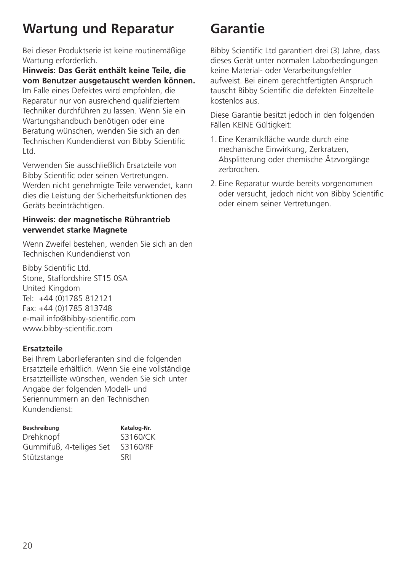# **Wartung und Reparatur**

Bei dieser Produktserie ist keine routinemäßige Wartung erforderlich.

**Hinweis: Das Gerät enthält keine Teile, die vom Benutzer ausgetauscht werden können.** Im Falle eines Defektes wird empfohlen, die Reparatur nur von ausreichend qualifiziertem Techniker durchführen zu lassen. Wenn Sie ein Wartungshandbuch benötigen oder eine Beratung wünschen, wenden Sie sich an den Technischen Kundendienst von Bibby Scientific Ltd.

Verwenden Sie ausschließlich Ersatzteile von Bibby Scientific oder seinen Vertretungen. Werden nicht genehmigte Teile verwendet, kann dies die Leistung der Sicherheitsfunktionen des Geräts beeinträchtigen.

#### **Hinweis: der magnetische Rührantrieb verwendet starke Magnete**

Wenn Zweifel bestehen, wenden Sie sich an den Technischen Kundendienst von

Bibby Scientific Ltd. Stone, Staffordshire ST15 0SA United Kingdom Tel: +44 (0)1785 812121 Fax: +44 (0)1785 813748 e-mail info@bibby-scientific.com www.bibby-scientific.com

#### **Ersatzteile**

Bei Ihrem Laborlieferanten sind die folgenden Ersatzteile erhältlich. Wenn Sie eine vollständige Ersatzteilliste wünschen, wenden Sie sich unter Angabe der folgenden Modell- und Seriennummern an den Technischen Kundendienst:

| Beschreibung             | Katalog-Nr. |
|--------------------------|-------------|
| Drehknopf                | S3160/CK    |
| Gummifuß, 4-teiliges Set | S3160/RF    |
| Stützstange              | <b>SRI</b>  |

# **Garantie**

Bibby Scientific Ltd garantiert drei (3) Jahre, dass dieses Gerät unter normalen Laborbedingungen keine Material- oder Verarbeitungsfehler aufweist. Bei einem gerechtfertigten Anspruch tauscht Bibby Scientific die defekten Einzelteile kostenlos aus.

Diese Garantie besitzt jedoch in den folgenden Fällen KEINE Gültigkeit:

- 1. Eine Keramikfläche wurde durch eine mechanische Einwirkung, Zerkratzen, Absplitterung oder chemische Ätzvorgänge zerbrochen.
- 2. Eine Reparatur wurde bereits vorgenommen oder versucht, jedoch nicht von Bibby Scientific oder einem seiner Vertretungen.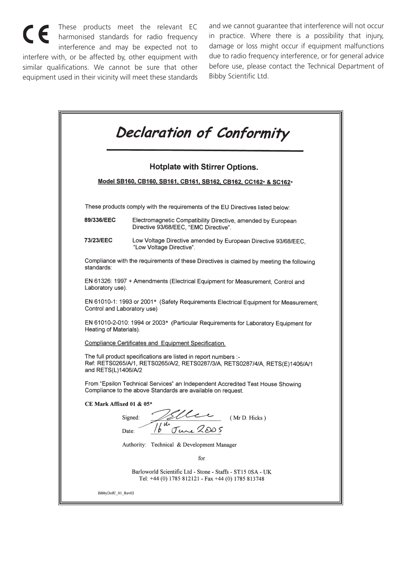These products meet the relevant EC harmonised standards for radio frequency interference and may be expected not to interfere with, or be affected by, other equipment with similar qualifications. We cannot be sure that other equipment used in their vicinity will meet these standards

and we cannot guarantee that interference will not occur in practice. Where there is a possibility that injury, damage or loss might occur if equipment malfunctions due to radio frequency interference, or for general advice before use, please contact the Technical Department of Bibby Scientific Ltd.

|                             | Declaration of Conformity                                                                                                                       |
|-----------------------------|-------------------------------------------------------------------------------------------------------------------------------------------------|
|                             | <b>Hotplate with Stirrer Options.</b>                                                                                                           |
|                             | Model SB160, CB160, SB161, CB161, SB162, CB162, CC162* & SC162*                                                                                 |
|                             | These products comply with the requirements of the EU Directives listed below:                                                                  |
| 89/336/EEC                  | Electromagnetic Compatibility Directive, amended by European<br>Directive 93/68/EEC. "EMC Directive".                                           |
| 73/23/EEC                   | Low Voltage Directive amended by European Directive 93/68/EEC.<br>"Low Voltage Directive".                                                      |
| standards:                  | Compliance with the requirements of these Directives is claimed by meeting the following                                                        |
| Laboratory use).            | EN 61326: 1997 + Amendments (Electrical Equipment for Measurement, Control and                                                                  |
| Control and Laboratory use) | EN 61010-1: 1993 or 2001* (Safety Requirements Electrical Equipment for Measurement,                                                            |
| Heating of Materials).      | EN 61010-2-010: 1994 or 2003* (Particular Requirements for Laboratory Equipment for                                                             |
|                             | Compliance Certificates and Equipment Specification.                                                                                            |
| and RETS(L)1406/A/2         | The full product specifications are listed in report numbers :-<br>Ref: RETS0265/A/1, RETS0265/A/2, RETS0287/3/A, RETS0287/4/A, RETS(E)1406/A/1 |
|                             | From "Epsilon Technical Services" an Independent Accredited Test House Showing<br>Compliance to the above Standards are available on request.   |
| CE Mark Affixed 01 & 05*    |                                                                                                                                                 |
|                             | Signed:<br>(Mr D. Hicks)<br>$\frac{20-2005}{5}$<br>$16^{\frac{2}{4}}$<br>Date:                                                                  |
|                             | Authority: Technical & Development Manager                                                                                                      |
|                             | for                                                                                                                                             |
|                             | Barloworld Scientific Ltd - Stone - Staffs - ST15 0SA - UK<br>Tel: +44 (0) 1785 812121 - Fax +44 (0) 1785 813748                                |
| BibbyDofC_01_Rev02          |                                                                                                                                                 |